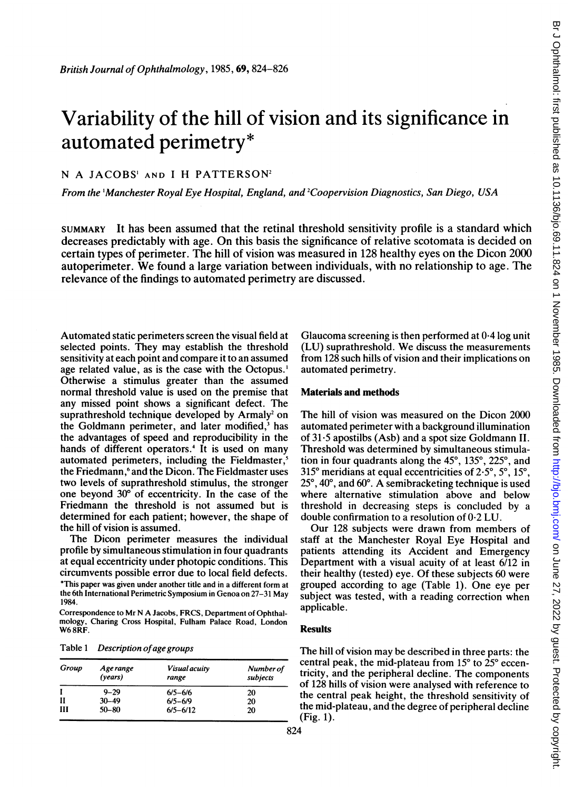# Variability of the hill of vision and its significance in automated perimetry\*

## N A JACOBS' AND <sup>I</sup> H PATTERSON2

From the 'Manchester Royal Eye Hospital, England, and 2Coopervision Diagnostics, San Diego, USA

SUMMARY It has been assumed that the retinal threshold sensitivity profile is a standard which decreases predictably with age. On this basis the significance of relative scotomata is decided on certain types of perimeter. The hill of vision was measured in 128 healthy eyes on the Dicon 2000 autoperimeter. We found <sup>a</sup> large variation between individuals, with no relationship to age. The relevance of the findings to automated perimetry are discussed.

Automated static perimeters screen the visual field at selected points. They may establish the threshold sensitivity at each point and compare it to an assumed age related value, as is the case with the Octopus.' Otherwise a stimulus greater than the assumed normal threshold value is used on the premise that any missed point shows a significant defect. The suprathreshold technique developed by Armaly<sup>2</sup> on the Goldmann perimeter, and later modified,<sup>3</sup> has the advantages of speed and reproducibility in the hands of different operators.<sup>4</sup> It is used on many automated perimeters, including the Fieldmaster,<sup>5</sup> the Friedmann,<sup>6</sup> and the Dicon. The Fieldmaster uses two levels of suprathreshold stimulus, the stronger one beyond 30° of eccentricity. In the case of the Friedmann the threshold is not assumed but is determined for each patient; however, the shape of the hill of vision is assumed.

The Dicon perimeter measures the individual profile by simultaneous stimulation in four quadrants at equal eccentricity under photopic conditions. This circumvents possible error due to local field defects. \*This paper was given under another title and in a different form at the 6th International Perimetric Symposium in Genoa on 27-31 May 1984.

Correspondence to Mr N A Jacobs, FRCS, Department of Ophthalmology, Charing Cross Hospital, Fulham Palace Road, London W<sub>6</sub>8RF.

Table 1 Description of age groups

| Group | Age range<br>(years) | <b>Visual acuity</b><br>range | Number of<br>subjects |
|-------|----------------------|-------------------------------|-----------------------|
|       | $9 - 29$             | $6/5 - 6/6$                   | 20                    |
| н     | $30 - 49$            | $6/5 - 6/9$                   | 20                    |
| Ш     | $50 - 80$            | $6/5 - 6/12$                  | 20                    |

Glaucoma screening is then performed at 0-4 log unit (LU) suprathreshold. We discuss the measurements from 128 such hills of vision and their implications on automated perimetry.

### Materials and methods

The hill of vision was measured on the Dicon 2000 automated perimeter with a background illumination of 31-5 apostilbs (Asb) and a spot size Goldmann II. Threshold was determined by simultaneous stimulation in four quadrants along the  $45^\circ$ ,  $135^\circ$ ,  $225^\circ$ , and 315 $\degree$  meridians at equal eccentricities of 2.5 $\degree$ , 5 $\degree$ , 15 $\degree$ ,  $25^{\circ}$ , 40 $^{\circ}$ , and 60 $^{\circ}$ . A semibracketing technique is used where alternative stimulation above and below threshold in decreasing steps is concluded by a double confirmation to a resolution of 0-2 LU.

Our 128 subjects were drawn from members of staff at the Manchester Royal Eye Hospital and patients attending its Accident and Emergency Department with a visual acuity of at least 6/12 in their healthy (tested) eye. Of these subjects 60 were grouped according to age (Table 1). One eye per subject was tested, with a reading correction when applicable.

### Results

The hill of vision may be described in three parts: the central peak, the mid-plateau from  $15^{\circ}$  to  $25^{\circ}$  eccentricity, and the peripheral decline. The components of 128 hills of vision were analysed with reference to the central peak height, the threshold sensitivity of the mid-plateau, and the degree of peripheral decline (Fig. 1).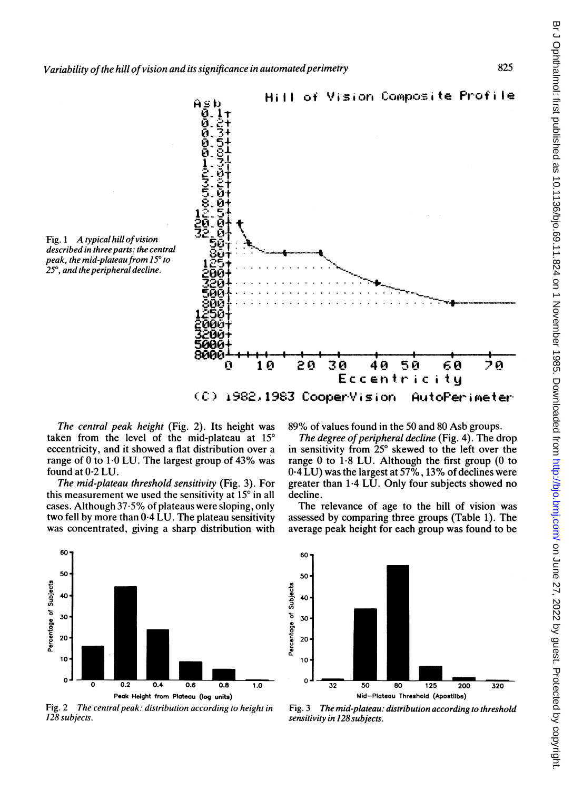



The central peak height (Fig. 2). Its height was taken from the level of the mid-plateau at 15° eccentricity, and it showed a flat distribution over a range of 0 to 1.0 LU. The largest group of 43% was

found at 0.2 LU. The mid-plateau threshold sensitivity (Fig. 3). For this measurement we used the sensitivity at 15° in all cases. Although 37.5% of plateaus were sloping, only two fell by more than 0.4 LU. The plateau sensitivity was concentrated, giving a sharp distribution with 89% of values found in the 50 and 80 Asb groups.

The degree of peripheral decline (Fig. 4). The drop in sensitivity from 25° skewed to the left over the range 0 to  $1.8$  LU. Although the first group (0 to  $0.4$  LU) was the largest at 57%, 13% of declines were greater than 1.4 LU. Only four subjects showed no decline.

The relevance of age to the hill of vision was assessed by comparing three groups (Table 1). The average peak height for each group was found to be



Fig. 2 The central peak: distribution according to height in 128 subjects.